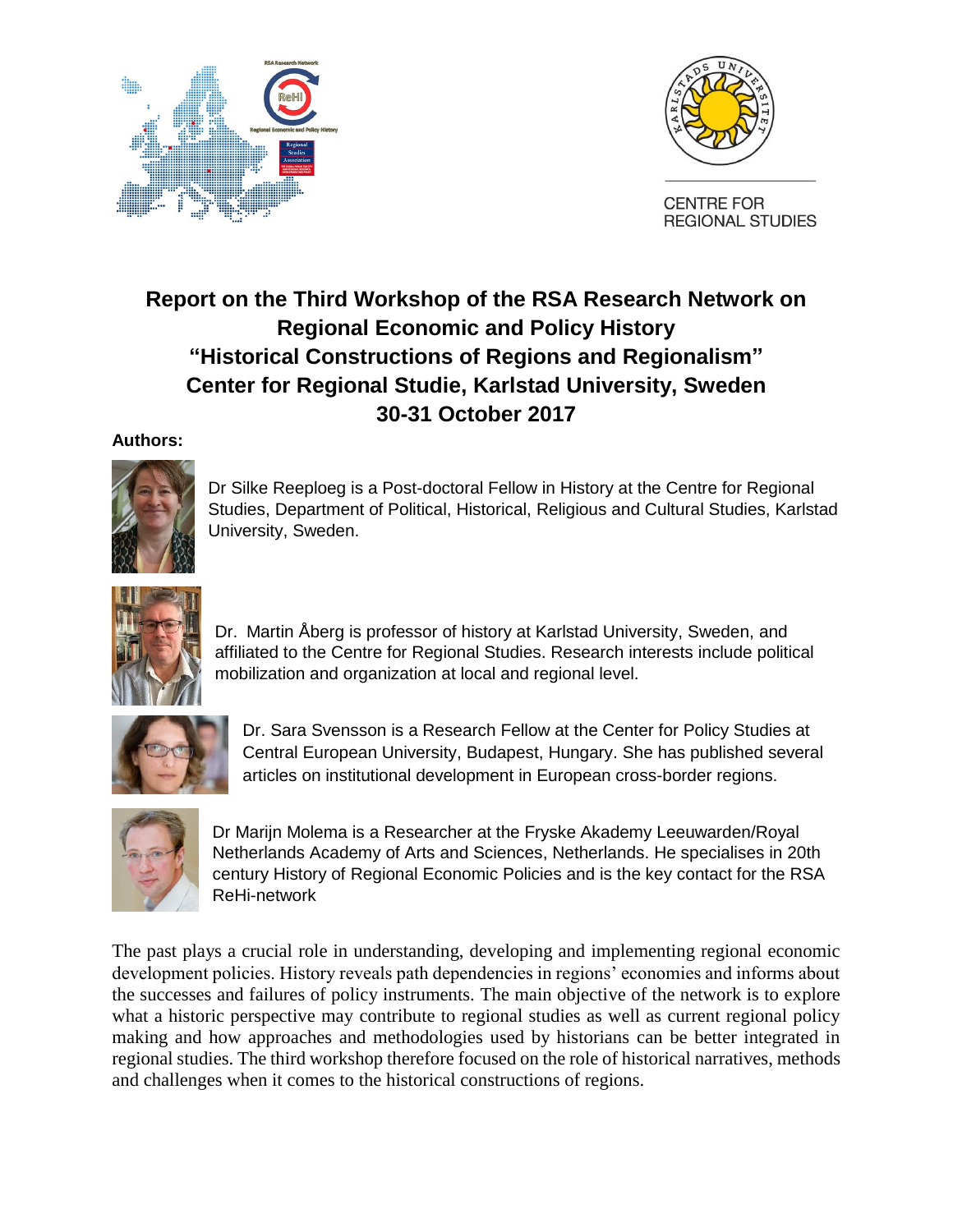



## **Report on the Third Workshop of the RSA Research Network on Regional Economic and Policy History "Historical Constructions of Regions and Regionalism" Center for Regional Studie, Karlstad University, Sweden 30-31 October 2017**

## **Authors:**



Dr Silke Reeploeg is a Post-doctoral Fellow in History at the Centre for Regional Studies, Department of Political, Historical, Religious and Cultural Studies, Karlstad University, Sweden.



Dr. Martin Åberg is professor of history at Karlstad University, Sweden, and affiliated to the Centre for Regional Studies. Research interests include political mobilization and organization at local and regional level.



Dr. Sara Svensson is a Research Fellow at the Center for Policy Studies at Central European University, Budapest, Hungary. She has published several articles on institutional development in European cross-border regions.



Dr Marijn Molema is a Researcher at the Fryske Akademy Leeuwarden/Royal Netherlands Academy of Arts and Sciences, Netherlands. He specialises in 20th century History of Regional Economic Policies and is the key contact for the RSA ReHi-network

The past plays a crucial role in understanding, developing and implementing regional economic development policies. History reveals path dependencies in regions' economies and informs about the successes and failures of policy instruments. The main objective of the network is to explore what a historic perspective may contribute to regional studies as well as current regional policy making and how approaches and methodologies used by historians can be better integrated in regional studies. The third workshop therefore focused on the role of historical narratives, methods and challenges when it comes to the historical constructions of regions.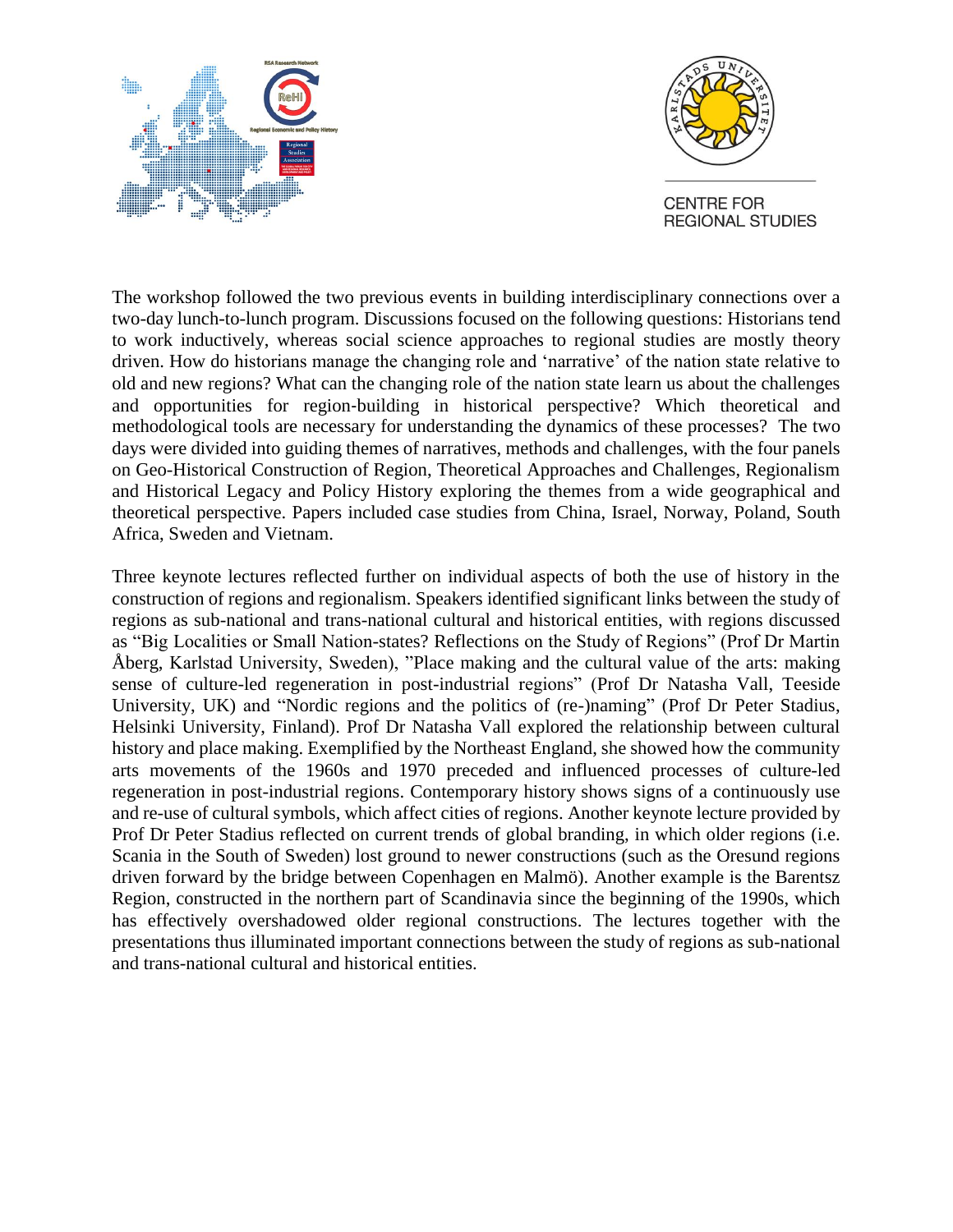



The workshop followed the two previous events in building interdisciplinary connections over a two-day lunch-to-lunch program. Discussions focused on the following questions: Historians tend to work inductively, whereas social science approaches to regional studies are mostly theory driven. How do historians manage the changing role and 'narrative' of the nation state relative to old and new regions? What can the changing role of the nation state learn us about the challenges and opportunities for region‐building in historical perspective? Which theoretical and methodological tools are necessary for understanding the dynamics of these processes? The two days were divided into guiding themes of narratives, methods and challenges, with the four panels on Geo-Historical Construction of Region, Theoretical Approaches and Challenges, Regionalism and Historical Legacy and Policy History exploring the themes from a wide geographical and theoretical perspective. Papers included case studies from China, Israel, Norway, Poland, South Africa, Sweden and Vietnam.

Three keynote lectures reflected further on individual aspects of both the use of history in the construction of regions and regionalism. Speakers identified significant links between the study of regions as sub-national and trans-national cultural and historical entities, with regions discussed as "Big Localities or Small Nation-states? Reflections on the Study of Regions" (Prof Dr Martin Åberg, Karlstad University, Sweden), "Place making and the cultural value of the arts: making sense of culture-led regeneration in post-industrial regions" (Prof Dr Natasha Vall, Teeside University, UK) and "Nordic regions and the politics of (re-)naming" (Prof Dr Peter Stadius, Helsinki University, Finland). Prof Dr Natasha Vall explored the relationship between cultural history and place making. Exemplified by the Northeast England, she showed how the community arts movements of the 1960s and 1970 preceded and influenced processes of culture-led regeneration in post-industrial regions. Contemporary history shows signs of a continuously use and re-use of cultural symbols, which affect cities of regions. Another keynote lecture provided by Prof Dr Peter Stadius reflected on current trends of global branding, in which older regions (i.e. Scania in the South of Sweden) lost ground to newer constructions (such as the Oresund regions driven forward by the bridge between Copenhagen en Malmö). Another example is the Barentsz Region, constructed in the northern part of Scandinavia since the beginning of the 1990s, which has effectively overshadowed older regional constructions. The lectures together with the presentations thus illuminated important connections between the study of regions as sub-national and trans-national cultural and historical entities.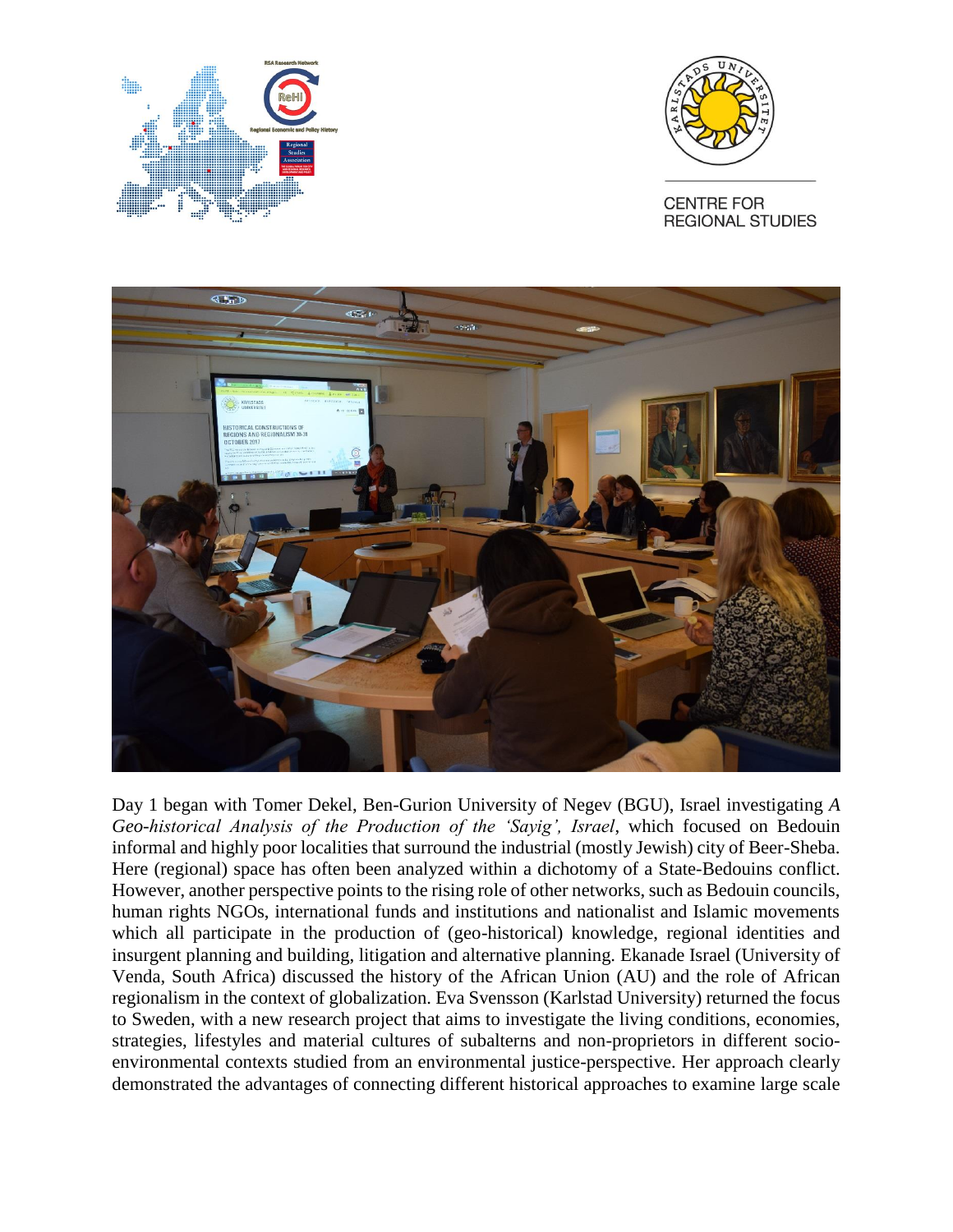





Day 1 began with Tomer Dekel, Ben-Gurion University of Negev (BGU), Israel investigating *A Geo-historical Analysis of the Production of the 'Sayig', Israel*, which focused on Bedouin informal and highly poor localities that surround the industrial (mostly Jewish) city of Beer-Sheba. Here (regional) space has often been analyzed within a dichotomy of a State-Bedouins conflict. However, another perspective points to the rising role of other networks, such as Bedouin councils, human rights NGOs, international funds and institutions and nationalist and Islamic movements which all participate in the production of (geo-historical) knowledge, regional identities and insurgent planning and building, litigation and alternative planning. Ekanade Israel (University of Venda, South Africa) discussed the history of the African Union (AU) and the role of African regionalism in the context of globalization. Eva Svensson (Karlstad University) returned the focus to Sweden, with a new research project that aims to investigate the living conditions, economies, strategies, lifestyles and material cultures of subalterns and non-proprietors in different socioenvironmental contexts studied from an environmental justice-perspective. Her approach clearly demonstrated the advantages of connecting different historical approaches to examine large scale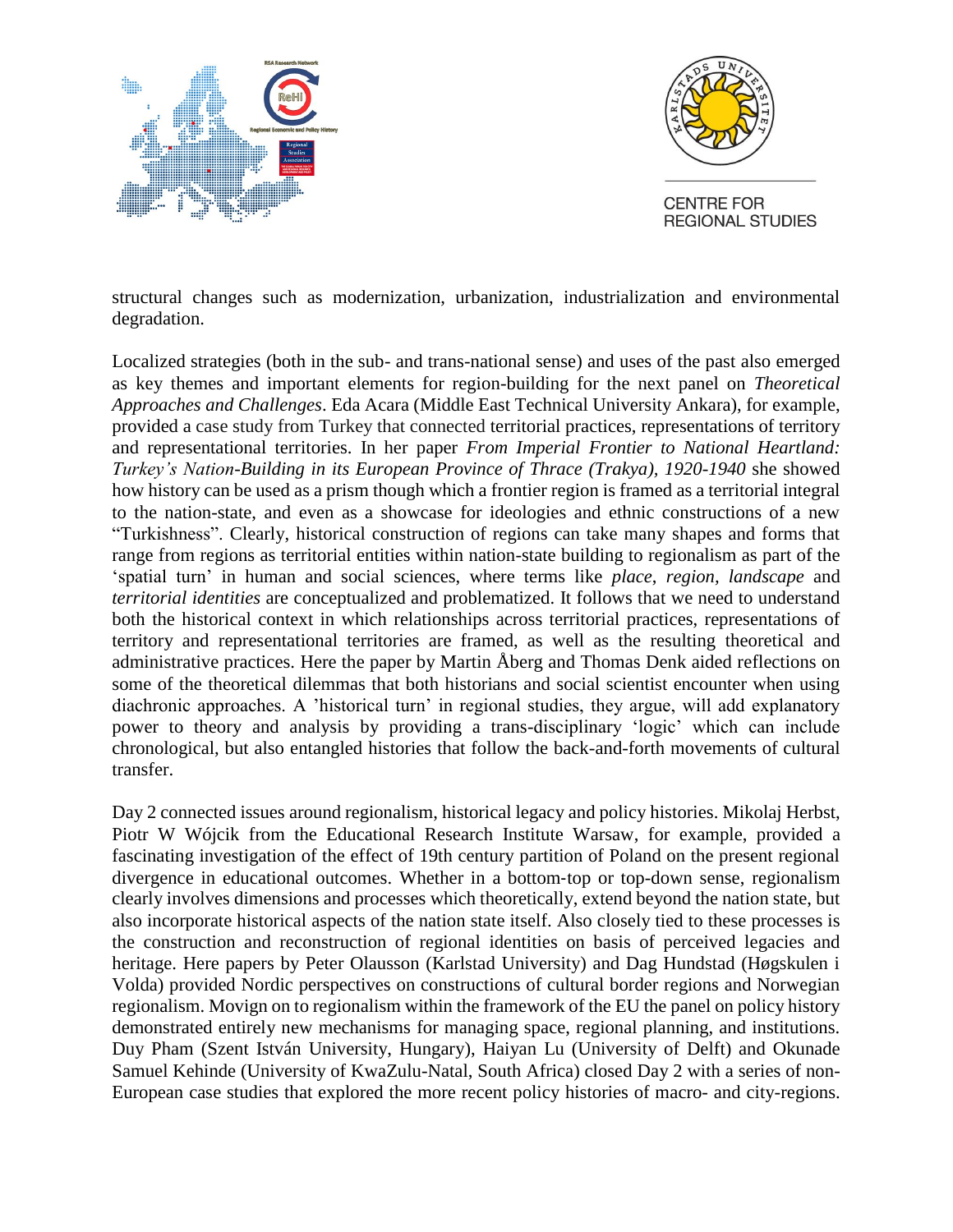



structural changes such as modernization, urbanization, industrialization and environmental degradation.

Localized strategies (both in the sub- and trans-national sense) and uses of the past also emerged as key themes and important elements for region-building for the next panel on *Theoretical Approaches and Challenges*. Eda Acara (Middle East Technical University Ankara), for example, provided a case study from Turkey that connected territorial practices, representations of territory and representational territories. In her paper *From Imperial Frontier to National Heartland: Turkey's Nation-Building in its European Province of Thrace (Trakya), 1920-1940* she showed how history can be used as a prism though which a frontier region is framed as a territorial integral to the nation-state, and even as a showcase for ideologies and ethnic constructions of a new "Turkishness". Clearly, historical construction of regions can take many shapes and forms that range from regions as territorial entities within nation-state building to regionalism as part of the 'spatial turn' in human and social sciences, where terms like *place*, *region, landscape* and *territorial identities* are conceptualized and problematized. It follows that we need to understand both the historical context in which relationships across territorial practices, representations of territory and representational territories are framed, as well as the resulting theoretical and administrative practices. Here the paper by Martin Åberg and Thomas Denk aided reflections on some of the theoretical dilemmas that both historians and social scientist encounter when using diachronic approaches. A 'historical turn' in regional studies, they argue, will add explanatory power to theory and analysis by providing a trans-disciplinary 'logic' which can include chronological, but also entangled histories that follow the back-and-forth movements of cultural transfer.

Day 2 connected issues around regionalism, historical legacy and policy histories. Mikolaj Herbst, Piotr W Wójcik from the Educational Research Institute Warsaw, for example, provided a fascinating investigation of the effect of 19th century partition of Poland on the present regional divergence in educational outcomes. Whether in a bottom‐top or top-down sense, regionalism clearly involves dimensions and processes which theoretically, extend beyond the nation state, but also incorporate historical aspects of the nation state itself. Also closely tied to these processes is the construction and reconstruction of regional identities on basis of perceived legacies and heritage. Here papers by Peter Olausson (Karlstad University) and Dag Hundstad (Høgskulen i Volda) provided Nordic perspectives on constructions of cultural border regions and Norwegian regionalism. Movign on to regionalism within the framework of the EU the panel on policy history demonstrated entirely new mechanisms for managing space, regional planning, and institutions. Duy Pham (Szent István University, Hungary), Haiyan Lu (University of Delft) and Okunade Samuel Kehinde (University of KwaZulu-Natal, South Africa) closed Day 2 with a series of non-European case studies that explored the more recent policy histories of macro- and city-regions.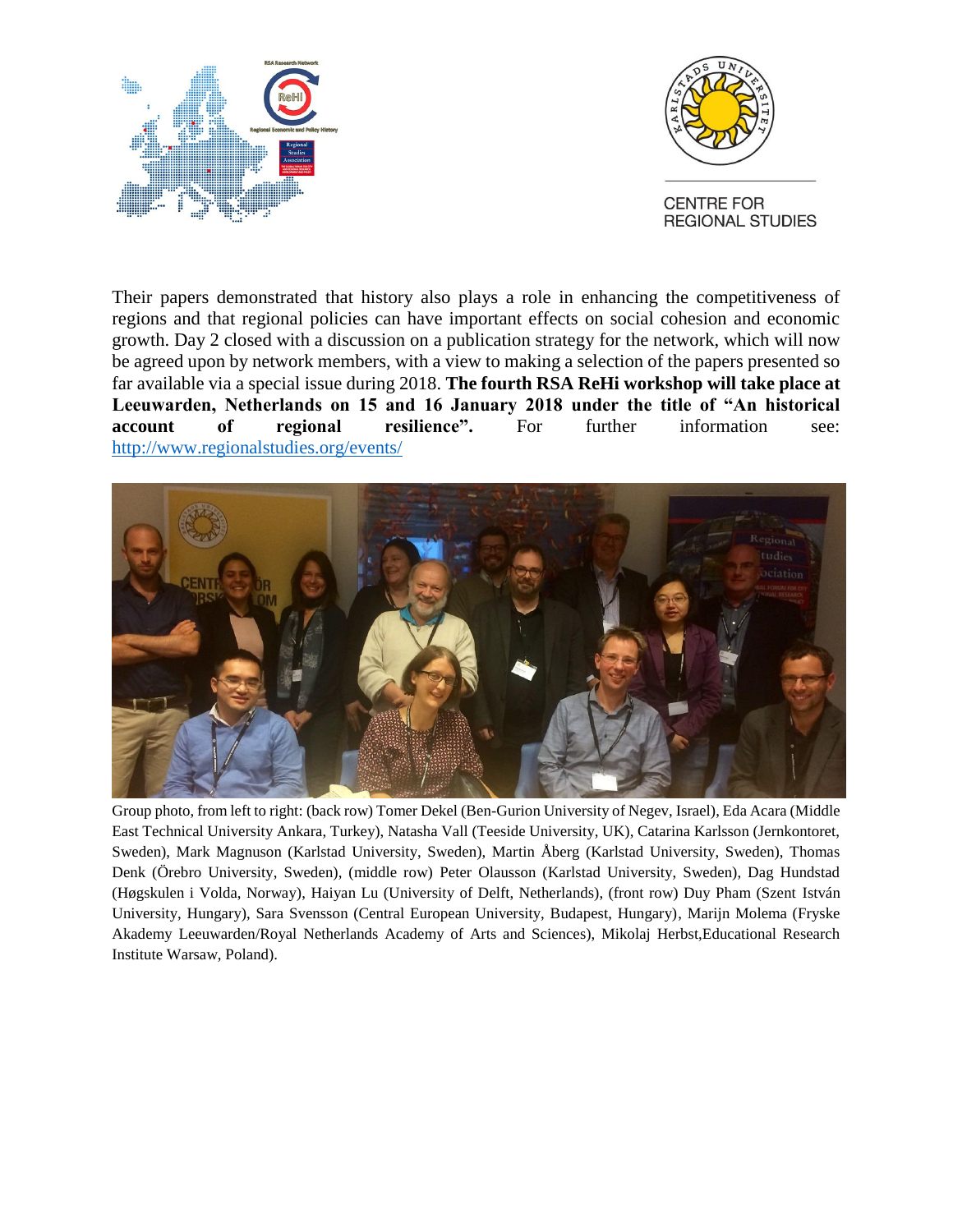



Their papers demonstrated that history also plays a role in enhancing the competitiveness of regions and that regional policies can have important effects on social cohesion and economic growth. Day 2 closed with a discussion on a publication strategy for the network, which will now be agreed upon by network members, with a view to making a selection of the papers presented so far available via a special issue during 2018. **The fourth RSA ReHi workshop will take place at Leeuwarden, Netherlands on 15 and 16 January 2018 under the title of "An historical account of regional resilience".** For further information see: <http://www.regionalstudies.org/events/>



Group photo, from left to right: (back row) Tomer Dekel (Ben-Gurion University of Negev, Israel), Eda Acara (Middle East Technical University Ankara, Turkey), Natasha Vall (Teeside University, UK), Catarina Karlsson (Jernkontoret, Sweden), Mark Magnuson (Karlstad University, Sweden), Martin Åberg (Karlstad University, Sweden), Thomas Denk (Örebro University, Sweden), (middle row) Peter Olausson (Karlstad University, Sweden), Dag Hundstad (Høgskulen i Volda, Norway), Haiyan Lu (University of Delft, Netherlands), (front row) Duy Pham (Szent István University, Hungary), Sara Svensson (Central European University, Budapest, Hungary), Marijn Molema (Fryske Akademy Leeuwarden/Royal Netherlands Academy of Arts and Sciences), Mikolaj Herbst,Educational Research Institute Warsaw, Poland).